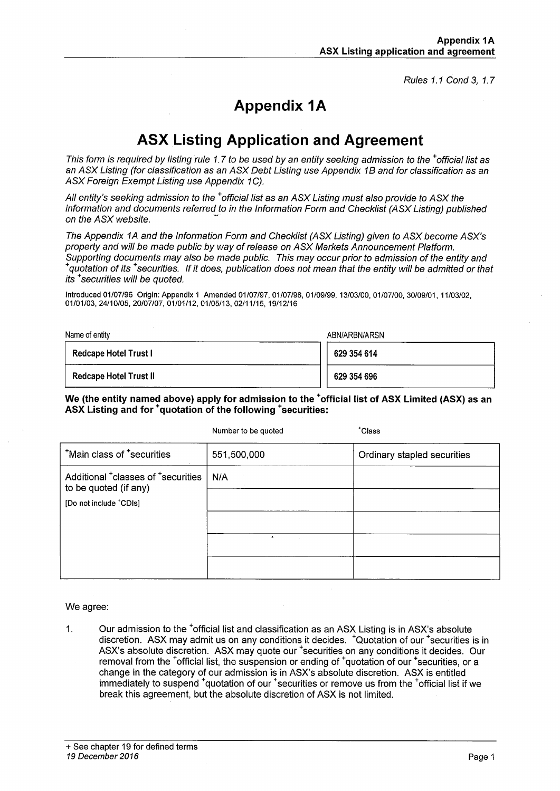Rules 1.1 Cond 3. 1.7

# **Appendix 1A**

# **ASX Listing Application and Agreement**

This form is required by listing rule 1.7 to be used by an entity seeking admission to the <sup>+</sup>official list as an ASX Listing (for classification as an ASX Debt Listing use Appendix 1B and for classification as an ASX Foreign Exempt Listing use Appendix 1C).

All entity's seeking admission to the <sup>+</sup>official list as an ASX Listing must also provide to ASX the information and documents referred to in the Information Form and Checklist (ASX Listing) published on the ASX website.

The Appendix 1A and the Information Form and Checklist (ASX Listing) given to ASX become ASX's property and will be made public by way of release on ASX Markets Announcement Platform. Supporting documents may also be made public. This may occur prior to admission of the entity and <sup>+</sup>quotation of its <sup>+</sup>securities. If it does, publication does not mean that the entity will be admitted or that its <sup>+</sup>securities will be quoted.

Introduced 01/07/96 Origin: Appendix 1 Amended 01/07/97, 01/07/98, 01/09/99, 13/03/00, 01/07/00, 30/09/01, 11/03/02, 01/01/03, 24/10/05, 20/07/07, 01/01/12, 01/05/13, 02/11/15, 19/12/16

| Name of entity                | ABN/ARBN/ARSN |
|-------------------------------|---------------|
| <b>Redcape Hotel Trust I</b>  | 629 354 614   |
| <b>Redcape Hotel Trust II</b> | 629 354 696   |

#### We (the entity named above) apply for admission to the <sup>+</sup>official list of ASX Limited (ASX) as an ASX Listing and for <sup>+</sup>quotation of the following <sup>+</sup>securities:

|                                                                                     | Number to be quoted | *Class                      |
|-------------------------------------------------------------------------------------|---------------------|-----------------------------|
| *Main class of *securities                                                          | 551,500,000         | Ordinary stapled securities |
| Additional <sup>+</sup> classes of <sup>+</sup> securities<br>to be quoted (if any) | N/A                 |                             |
| [Do not include *CDIs]                                                              |                     |                             |
|                                                                                     |                     |                             |
|                                                                                     |                     |                             |
|                                                                                     |                     |                             |

We agree:

Our admission to the <sup>+</sup>official list and classification as an ASX Listing is in ASX's absolute  $1.$ discretion. ASX may admit us on any conditions it decides. <sup>+</sup>Quotation of our <sup>+</sup>securities is in ASX's absolute discretion. ASX may quote our <sup>+</sup>securities on any conditions it decides. Our removal from the <sup>+</sup>official list, the suspension or ending of <sup>+</sup>quotation of our <sup>+</sup>securities, or a change in the category of our admission is in ASX's absolute discretion. ASX is entitled immediately to suspend <sup>+</sup>quotation of our <sup>+</sup>securities or remove us from the <sup>+</sup>official list if we break this agreement, but the absolute discretion of ASX is not limited.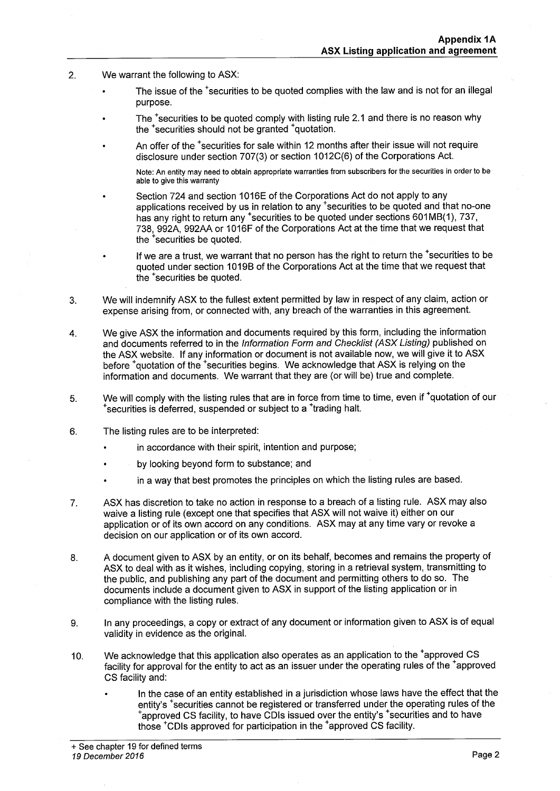- We warrant the following to ASX:  $2.$ 
	- The issue of the <sup>+</sup>securities to be guoted complies with the law and is not for an illegal purpose.
	- The <sup>+</sup>securities to be quoted comply with listing rule 2.1 and there is no reason why the <sup>+</sup>securities should not be granted <sup>+</sup>quotation.
	- An offer of the \*securities for sale within 12 months after their issue will not require disclosure under section 707(3) or section 1012C(6) of the Corporations Act.

Note: An entity may need to obtain appropriate warranties from subscribers for the securities in order to be able to give this warranty

- Section 724 and section 1016E of the Corporations Act do not apply to any applications received by us in relation to any \*securities to be quoted and that no-one has any right to return any <sup>+</sup>securities to be quoted under sections 601MB(1), 737, 738, 992A, 992AA or 1016F of the Corporations Act at the time that we request that the <sup>+</sup>securities be quoted.
- If we are a trust, we warrant that no person has the right to return the \*securities to be quoted under section 1019B of the Corporations Act at the time that we request that the <sup>+</sup>securities be quoted.
- $3.$ We will indemnify ASX to the fullest extent permitted by law in respect of any claim, action or expense arising from, or connected with, any breach of the warranties in this agreement.
- We give ASX the information and documents required by this form, including the information  $\overline{4}$ . and documents referred to in the Information Form and Checklist (ASX Listing) published on the ASX website. If any information or document is not available now, we will give it to ASX before "quotation of the "securities begins. We acknowledge that ASX is relying on the information and documents. We warrant that they are (or will be) true and complete.
- We will comply with the listing rules that are in force from time to time, even if 'quotation of our 5. \*securities is deferred, suspended or subject to a \*trading halt.
- 6. The listing rules are to be interpreted:
	- in accordance with their spirit, intention and purpose;
	- by looking beyond form to substance; and
	- in a way that best promotes the principles on which the listing rules are based.
- ASX has discretion to take no action in response to a breach of a listing rule. ASX may also 7. waive a listing rule (except one that specifies that ASX will not waive it) either on our application or of its own accord on any conditions. ASX may at any time vary or revoke a decision on our application or of its own accord.
- A document given to ASX by an entity, or on its behalf, becomes and remains the property of 8. ASX to deal with as it wishes, including copying, storing in a retrieval system, transmitting to the public, and publishing any part of the document and permitting others to do so. The documents include a document given to ASX in support of the listing application or in compliance with the listing rules.
- In any proceedings, a copy or extract of any document or information given to ASX is of equal 9. validity in evidence as the original.
- We acknowledge that this application also operates as an application to the <sup>+</sup>approved CS  $10.$ facility for approval for the entity to act as an issuer under the operating rules of the 'approved CS facility and:
	- In the case of an entity established in a jurisdiction whose laws have the effect that the entity's <sup>+</sup>securities cannot be registered or transferred under the operating rules of the "approved CS facility, to have CDIs issued over the entity's "securities and to have those <sup>+</sup>CDIs approved for participation in the <sup>+</sup>approved CS facility.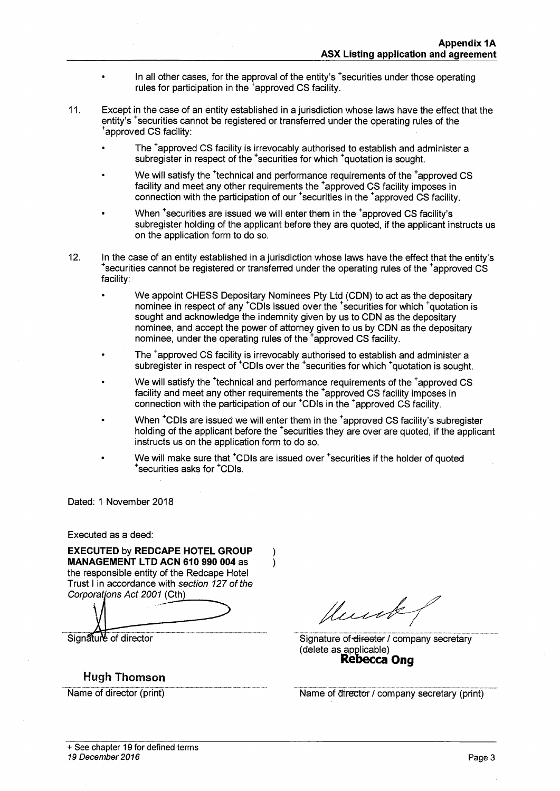- In all other cases, for the approval of the entity's "securities under those operating rules for participation in the <sup>+</sup>approved CS facility.
- $11.$ Except in the case of an entity established in a jurisdiction whose laws have the effect that the entity's \*securities cannot be registered or transferred under the operating rules of the \*approved CS facility:
	- The <sup>+</sup>approved CS facility is irrevocably authorised to establish and administer a subregister in respect of the <sup>+</sup>securities for which <sup>+</sup>quotation is sought.
	- We will satisfy the <sup>+</sup>technical and performance requirements of the <sup>+</sup>approved CS facility and meet any other requirements the <sup>+</sup>approved CS facility imposes in connection with the participation of our <sup>+</sup>securities in the <sup>+</sup>approved CS facility.
	- When <sup>+</sup>securities are issued we will enter them in the <sup>+</sup>approved CS facility's subregister holding of the applicant before they are quoted, if the applicant instructs us on the application form to do so.
- $12.$ In the case of an entity established in a jurisdiction whose laws have the effect that the entity's \*securities cannot be registered or transferred under the operating rules of the \*approved CS facility:
	- We appoint CHESS Depositary Nominees Pty Ltd (CDN) to act as the depositary nominee in respect of any <sup>+</sup>CDIs issued over the <sup>+</sup>securities for which <sup>+</sup>quotation is sought and acknowledge the indemnity given by us to CDN as the depositary nominee, and accept the power of attorney given to us by CDN as the depositary nominee, under the operating rules of the <sup>+</sup>approved CS facility.
	- The <sup>+</sup>approved CS facility is irrevocably authorised to establish and administer a subregister in respect of <sup>\*</sup>CDIs over the <sup>+</sup>securities for which <sup>+</sup>quotation is sought.
	- We will satisfy the <sup>+</sup>technical and performance requirements of the <sup>+</sup>approved CS facility and meet any other requirements the <sup>+</sup>approved CS facility imposes in connection with the participation of our <sup>\*</sup>CDIs in the <sup>\*</sup>approved CS facility.
	- When <sup>+</sup>CDIs are issued we will enter them in the <sup>+</sup>approved CS facility's subregister holding of the applicant before the <sup>+</sup>securities they are over are quoted, if the applicant instructs us on the application form to do so.
	- We will make sure that <sup>+</sup>CDIs are issued over <sup>+</sup>securities if the holder of quoted securities asks for <sup>+</sup>CDIs.

 $\lambda$ 

 $\lambda$ 

Dated: 1 November 2018

Executed as a deed:

**EXECUTED by REDCAPE HOTEL GROUP** MANAGEMENT LTD ACN 610 990 004 as the responsible entity of the Redcape Hotel Trust I in accordance with section 127 of the Corporations Act 2001 (Cth)

Signature of director

# **Hugh Thomson**

Name of director (print)

Hunk

Signature of director / company secretary (delete as applicable)<br>Rebecca Ong

Name of director / company secretary (print)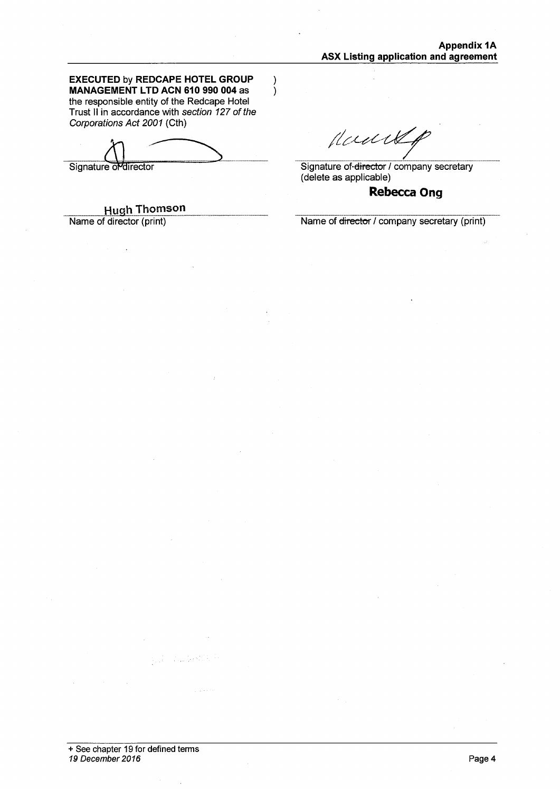**EXECUTED by REDCAPE HOTEL GROUP** MANAGEMENT LTD ACN 610 990 004 as the responsible entity of the Redcape Hotel Trust II in accordance with section 127 of the Corporations Act 2001 (Cth)

 $\lambda$ 

 $\lambda$ 

Signature or director

**Hugh Thomson** 

Name of director (print)

Mank

Signature of-director / company secretary<br>(delete as applicable)

# **Rebecca Ong**

Name of director / company secretary (print)

e di stalionale

**Contract**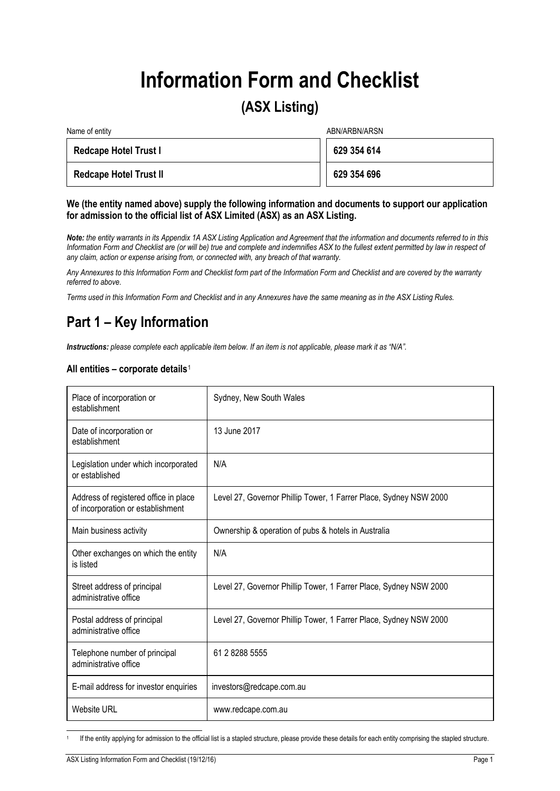# **Information Form and Checklist**

# **(ASX Listing)**

| Name of entity                | ABN/ARBN/ARSN |
|-------------------------------|---------------|
| <b>Redcape Hotel Trust I</b>  | 629 354 614   |
| <b>Redcape Hotel Trust II</b> | 629 354 696   |

#### **We (the entity named above) supply the following information and documents to support our application for admission to the official list of ASX Limited (ASX) as an ASX Listing.**

*Note: the entity warrants in its Appendix 1A ASX Listing Application and Agreement that the information and documents referred to in this Information Form and Checklist are (or will be) true and complete and indemnifies ASX to the fullest extent permitted by law in respect of any claim, action or expense arising from, or connected with, any breach of that warranty.*

*Any Annexures to this Information Form and Checklist form part of the Information Form and Checklist and are covered by the warranty referred to above.*

*Terms used in this Information Form and Checklist and in any Annexures have the same meaning as in the ASX Listing Rules.*

# **Part 1 – Key Information**

*Instructions: please complete each applicable item below. If an item is not applicable, please mark it as "N/A".*

### **All entities – corporate details**[1](#page-4-0)

| Place of incorporation or<br>establishment                                 | Sydney, New South Wales                                           |
|----------------------------------------------------------------------------|-------------------------------------------------------------------|
| Date of incorporation or<br>establishment                                  | 13 June 2017                                                      |
| Legislation under which incorporated<br>or established                     | N/A                                                               |
| Address of registered office in place<br>of incorporation or establishment | Level 27, Governor Phillip Tower, 1 Farrer Place, Sydney NSW 2000 |
| Main business activity                                                     | Ownership & operation of pubs & hotels in Australia               |
| Other exchanges on which the entity<br>is listed                           | N/A                                                               |
| Street address of principal<br>administrative office                       | Level 27, Governor Phillip Tower, 1 Farrer Place, Sydney NSW 2000 |
| Postal address of principal<br>administrative office                       | Level 27, Governor Phillip Tower, 1 Farrer Place, Sydney NSW 2000 |
| Telephone number of principal<br>administrative office                     | 61 2 8288 5555                                                    |
| E-mail address for investor enquiries                                      | investors@redcape.com.au                                          |
| <b>Website URL</b>                                                         | www.redcape.com.au                                                |

<span id="page-4-0"></span>If the entity applying for admission to the official list is a stapled structure, please provide these details for each entity comprising the stapled structure.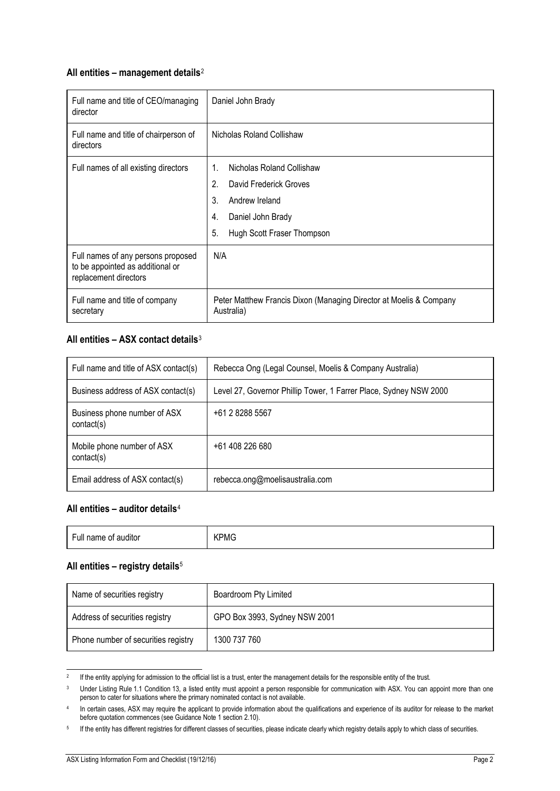# **All entities – management details**[2](#page-5-0)

| Full name and title of CEO/managing<br>director                                                 | Daniel John Brady                                                                |
|-------------------------------------------------------------------------------------------------|----------------------------------------------------------------------------------|
| Full name and title of chairperson of<br>directors                                              | Nicholas Roland Collishaw                                                        |
| Full names of all existing directors                                                            | 1.<br>Nicholas Roland Collishaw                                                  |
|                                                                                                 | 2.<br>David Frederick Groves                                                     |
|                                                                                                 | 3.<br>Andrew Ireland                                                             |
|                                                                                                 | Daniel John Brady<br>4.                                                          |
|                                                                                                 | 5.<br>Hugh Scott Fraser Thompson                                                 |
| Full names of any persons proposed<br>to be appointed as additional or<br>replacement directors | N/A                                                                              |
| Full name and title of company<br>secretary                                                     | Peter Matthew Francis Dixon (Managing Director at Moelis & Company<br>Australia) |

# **All entities – ASX contact details**[3](#page-5-1)

| Full name and title of ASX contact(s)      | Rebecca Ong (Legal Counsel, Moelis & Company Australia)           |
|--------------------------------------------|-------------------------------------------------------------------|
| Business address of ASX contact(s)         | Level 27, Governor Phillip Tower, 1 Farrer Place, Sydney NSW 2000 |
| Business phone number of ASX<br>contact(s) | +61 2 8288 5567                                                   |
| Mobile phone number of ASX<br>contact(s)   | +61 408 226 680                                                   |
| Email address of ASX contact(s)            | rebecca.ong@moelisaustralia.com                                   |

## **All entities – auditor details**[4](#page-5-2)

| <b><pmg< b=""><br/>Full name of<br/>auditor</pmg<></b> |
|--------------------------------------------------------|
|                                                        |

### **All entities – registry details**[5](#page-5-3)

| Name of securities registry         | Boardroom Pty Limited         |
|-------------------------------------|-------------------------------|
| Address of securities registry      | GPO Box 3993, Sydney NSW 2001 |
| Phone number of securities registry | 1300 737 760                  |

<span id="page-5-1"></span><span id="page-5-0"></span><sup>&</sup>lt;sup>2</sup> If the entity applying for admission to the official list is a trust, enter the management details for the responsible entity of the trust.

<sup>&</sup>lt;sup>3</sup> Under Listing Rule 1.1 Condition 13, a listed entity must appoint a person responsible for communication with ASX. You can appoint more than one person to cater for situations where the primary nominated contact is not available.

<span id="page-5-2"></span><sup>4</sup> In certain cases, ASX may require the applicant to provide information about the qualifications and experience of its auditor for release to the market before quotation commences (see Guidance Note 1 section 2.10).

<span id="page-5-3"></span><sup>5</sup> If the entity has different registries for different classes of securities, please indicate clearly which registry details apply to which class of securities.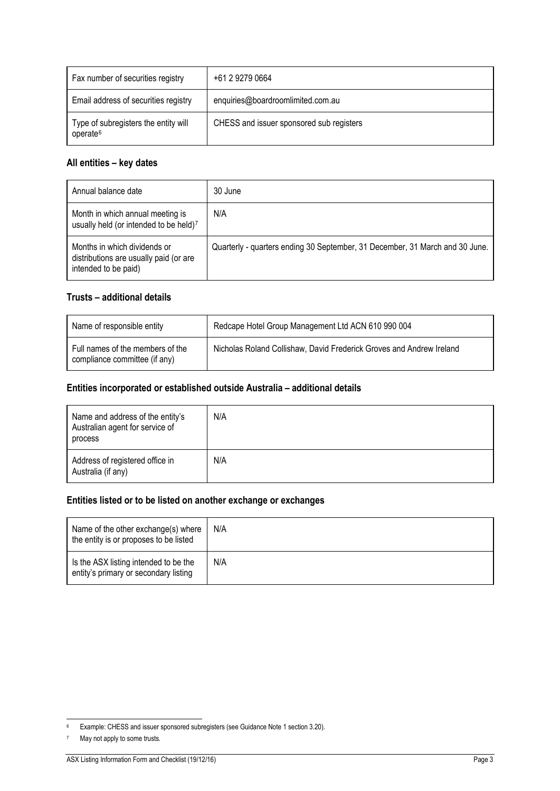| Fax number of securities registry                            | +61 2 9279 0664                          |
|--------------------------------------------------------------|------------------------------------------|
| Email address of securities registry                         | enquiries@boardroomlimited.com.au        |
| Type of subregisters the entity will<br>operate <sup>6</sup> | CHESS and issuer sponsored sub registers |

# **All entities – key dates**

| Annual balance date                                                                            | 30 June                                                                      |
|------------------------------------------------------------------------------------------------|------------------------------------------------------------------------------|
| Month in which annual meeting is<br>usually held (or intended to be held)7                     | N/A                                                                          |
| Months in which dividends or<br>distributions are usually paid (or are<br>intended to be paid) | Quarterly - quarters ending 30 September, 31 December, 31 March and 30 June. |

# **Trusts – additional details**

| Name of responsible entity                                        | Redcape Hotel Group Management Ltd ACN 610 990 004                   |
|-------------------------------------------------------------------|----------------------------------------------------------------------|
| Full names of the members of the<br>compliance committee (if any) | Nicholas Roland Collishaw, David Frederick Groves and Andrew Ireland |

# **Entities incorporated or established outside Australia – additional details**

| Name and address of the entity's<br>Australian agent for service of<br>process | N/A |
|--------------------------------------------------------------------------------|-----|
| Address of registered office in<br>Australia (if any)                          | N/A |

# **Entities listed or to be listed on another exchange or exchanges**

| Name of the other exchange(s) where<br>the entity is or proposes to be listed  | N/A |
|--------------------------------------------------------------------------------|-----|
| Is the ASX listing intended to be the<br>entity's primary or secondary listing | N/A |

<span id="page-6-1"></span><sup>7</sup> May not apply to some trusts.

<span id="page-6-0"></span> <sup>6</sup> Example: CHESS and issuer sponsored subregisters (see Guidance Note 1 section 3.20).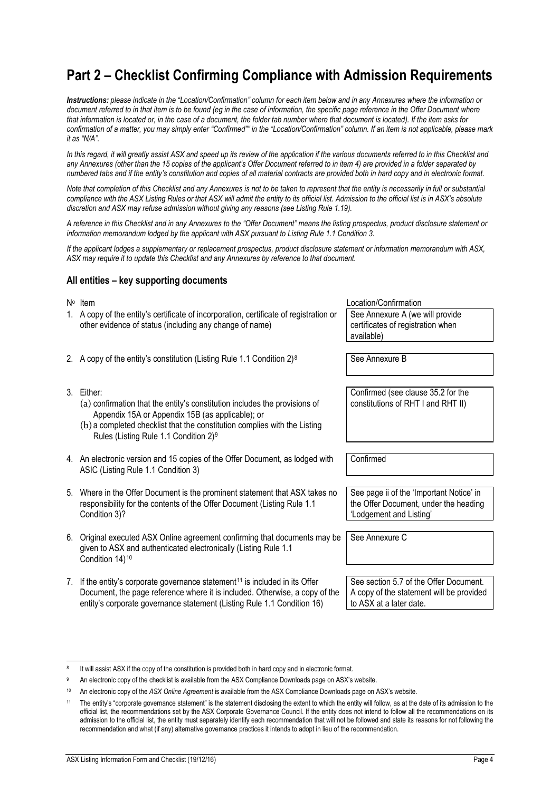# **Part 2 – Checklist Confirming Compliance with Admission Requirements**

*Instructions: please indicate in the "Location/Confirmation" column for each item below and in any Annexures where the information or document referred to in that item is to be found (eg in the case of information, the specific page reference in the Offer Document where that information is located or, in the case of a document, the folder tab number where that document is located). If the item asks for confirmation of a matter, you may simply enter "Confirmed"" in the "Location/Confirmation" column. If an item is not applicable, please mark it as "N/A".*

In this regard, it will greatly assist ASX and speed up its review of the application if the various documents referred to in this Checklist and *any Annexures (other than the 15 copies of the applicant's Offer Document referred to in item [4\)](#page-7-0) are provided in a folder separated by numbered tabs and if the entity's constitution and copies of all material contracts are provided both in hard copy and in electronic format.*

*Note that completion of this Checklist and any Annexures is not to be taken to represent that the entity is necessarily in full or substantial compliance with the ASX Listing Rules or that ASX will admit the entity to its official list. Admission to the official list is in ASX's absolute discretion and ASX may refuse admission without giving any reasons (see Listing Rule 1.19).*

*A reference in this Checklist and in any Annexures to the "Offer Document" means the listing prospectus, product disclosure statement or information memorandum lodged by the applicant with ASX pursuant to Listing Rule 1.1 Condition 3.*

*If the applicant lodges a supplementary or replacement prospectus, product disclosure statement or information memorandum with ASX, ASX may require it to update this Checklist and any Annexures by reference to that document.*

#### **All entities – key supporting documents**

- 1. A copy of the entity's certificate of incorporation, certificate of registration or other evidence of status (including any change of name) See Annexure A (we will provide certificates of registration when available)
- 2. A copy of the entity's constitution (Listing Rule 1.1 Condition  $2)^8$  $2)^8$  See Annexure B
- 3. Either:
	- (a) confirmation that the entity's constitution includes the provisions of Appendix 15A or Appendix 15B (as applicable); or
	- (b) a completed checklist that the constitution complies with the Listing Rules (Listing Rule 1.1 Condition 2)[9](#page-7-2)
- <span id="page-7-0"></span>4. An electronic version and 15 copies of the Offer Document, as lodged with ASIC (Listing Rule 1.1 Condition 3)
- 5. Where in the Offer Document is the prominent statement that ASX takes no responsibility for the contents of the Offer Document (Listing Rule 1.1 Condition 3)?
- 6. Original executed ASX Online agreement confirming that documents may be given to ASX and authenticated electronically (Listing Rule 1.1 Condition 14)[10](#page-7-3)
- 7. If the entity's corporate governance statement<sup>[11](#page-7-4)</sup> is included in its Offer Document, the page reference where it is included. Otherwise, a copy of the entity's corporate governance statement (Listing Rule 1.1 Condition 16)

No Item  $\mathsf{N}^{\circ}$  Location/Confirmation

Confirmed (see clause 35.2 for the constitutions of RHT I and RHT II)

Confirmed

See page ii of the 'Important Notice' in the Offer Document, under the heading 'Lodgement and Listing'

See Annexure C

See section 5.7 of the Offer Document. A copy of the statement will be provided to ASX at a later date.

<span id="page-7-1"></span>It will assist ASX if the copy of the constitution is provided both in hard copy and in electronic format.

<span id="page-7-2"></span>An electronic copy of the checklist is available from the ASX Compliance Downloads page on ASX's website.

<sup>10</sup> An electronic copy of the *ASX Online Agreement* is available from the ASX Compliance Downloads page on ASX's website.

<span id="page-7-4"></span><span id="page-7-3"></span><sup>11</sup> The entity's "corporate governance statement" is the statement disclosing the extent to which the entity will follow, as at the date of its admission to the official list, the recommendations set by the ASX Corporate Governance Council. If the entity does not intend to follow all the recommendations on its admission to the official list, the entity must separately identify each recommendation that will not be followed and state its reasons for not following the recommendation and what (if any) alternative governance practices it intends to adopt in lieu of the recommendation.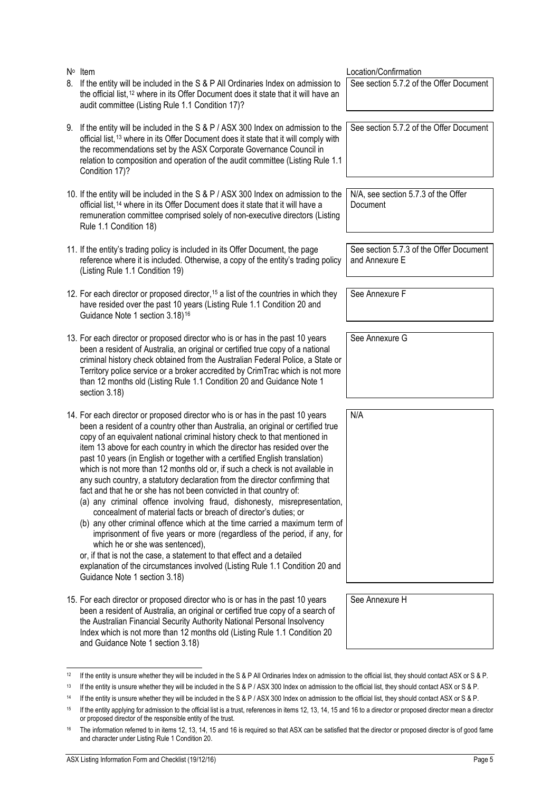No Item  $\mathbb{N}^{\circ}$  Location/Confirmation 8. If the entity will be included in the S & P All Ordinaries Index on admission to the official list,<sup>[12](#page-8-4)</sup> where in its Offer Document does it state that it will have an audit committee (Listing Rule 1.1 Condition 17)?

- 9. If the entity will be included in the S & P / ASX 300 Index on admission to the official list,<sup>[13](#page-8-5)</sup> where in its Offer Document does it state that it will comply with the recommendations set by the ASX Corporate Governance Council in relation to composition and operation of the audit committee (Listing Rule 1.1 Condition 17)?
- 10. If the entity will be included in the S & P / ASX 300 Index on admission to the official list,[14](#page-8-6) where in its Offer Document does it state that it will have a remuneration committee comprised solely of non-executive directors (Listing Rule 1.1 Condition 18)
- 11. If the entity's trading policy is included in its Offer Document, the page reference where it is included. Otherwise, a copy of the entity's trading policy (Listing Rule 1.1 Condition 19)
- <span id="page-8-1"></span>12. For each director or proposed director,<sup>15</sup> a list of the countries in which they have resided over the past 10 years (Listing Rule 1.1 Condition 20 and Guidance Note 1 section 3.18)<sup>[16](#page-8-8)</sup>
- <span id="page-8-0"></span>13. For each director or proposed director who is or has in the past 10 years been a resident of Australia, an original or certified true copy of a national criminal history check obtained from the Australian Federal Police, a State or Territory police service or a broker accredited by CrimTrac which is not more than 12 months old (Listing Rule 1.1 Condition 20 and Guidance Note 1 section 3.18)
- <span id="page-8-2"></span>14. For each director or proposed director who is or has in the past 10 years been a resident of a country other than Australia, an original or certified true copy of an equivalent national criminal history check to that mentioned in item [13](#page-8-0) above for each country in which the director has resided over the past 10 years (in English or together with a certified English translation) which is not more than 12 months old or, if such a check is not available in any such country, a statutory declaration from the director confirming that fact and that he or she has not been convicted in that country of:
	- (a) any criminal offence involving fraud, dishonesty, misrepresentation, concealment of material facts or breach of director's duties; or
	- (b) any other criminal offence which at the time carried a maximum term of imprisonment of five years or more (regardless of the period, if any, for which he or she was sentenced),

or, if that is not the case, a statement to that effect and a detailed explanation of the circumstances involved (Listing Rule 1.1 Condition 20 and Guidance Note 1 section 3.18)

<span id="page-8-3"></span>15. For each director or proposed director who is or has in the past 10 years been a resident of Australia, an original or certified true copy of a search of the Australian Financial Security Authority National Personal Insolvency Index which is not more than 12 months old (Listing Rule 1.1 Condition 20 and Guidance Note 1 section 3.18)

See section 5.7.2 of the Offer Document

See section 5.7.2 of the Offer Document

N/A, see section 5.7.3 of the Offer Document

See section 5.7.3 of the Offer Document and Annexure E

See Annexure F

See Annexure G

N/A

See Annexure H

<span id="page-8-4"></span><sup>&</sup>lt;sup>12</sup> If the entity is unsure whether they will be included in the S & P All Ordinaries Index on admission to the official list, they should contact ASX or S & P.

<span id="page-8-6"></span><span id="page-8-5"></span><sup>13</sup> If the entity is unsure whether they will be included in the S & P / ASX 300 Index on admission to the official list, they should contact ASX or S & P.

<sup>&</sup>lt;sup>14</sup> If the entity is unsure whether they will be included in the S & P / ASX 300 Index on admission to the official list, they should contact ASX or S & P.

<span id="page-8-7"></span><sup>&</sup>lt;sup>15</sup> If the entity applying for admission to the official list is a trust, references in items [12,](#page-8-1) [13,](#page-8-0) [14,](#page-8-2) [15](#page-8-3) an[d 16](#page-9-0) to a director or proposed director mean a director or proposed director of the responsible entity of the trust.

<span id="page-8-8"></span><sup>&</sup>lt;sup>16</sup> The information referred to in items [12,](#page-8-1) [13,](#page-8-0) [14,](#page-8-2) [15](#page-8-3) an[d 16](#page-9-0) is required so that ASX can be satisfied that the director or proposed director is of good fame and character under Listing Rule 1 Condition 20.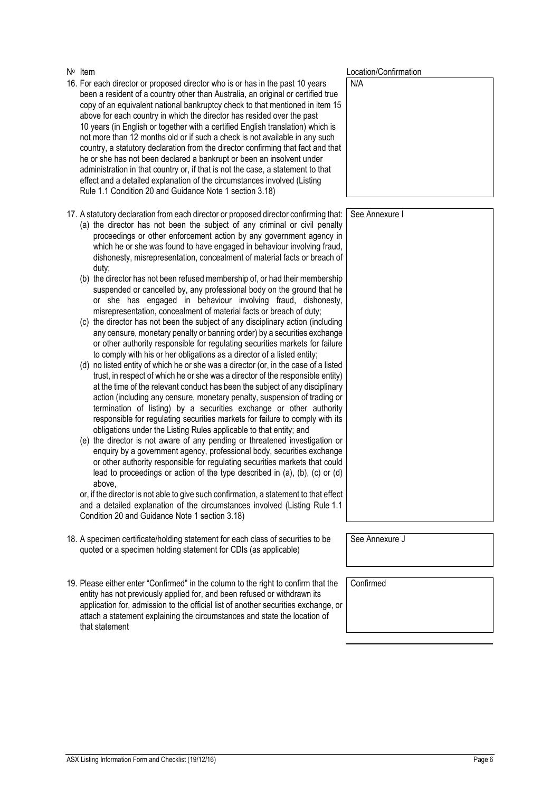- <span id="page-9-0"></span>16. For each director or proposed director who is or has in the past 10 years been a resident of a country other than Australia, an original or certified true copy of an equivalent national bankruptcy check to that mentioned in item [15](#page-8-3) above for each country in which the director has resided over the past 10 years (in English or together with a certified English translation) which is not more than 12 months old or if such a check is not available in any such country, a statutory declaration from the director confirming that fact and that he or she has not been declared a bankrupt or been an insolvent under administration in that country or, if that is not the case, a statement to that effect and a detailed explanation of the circumstances involved (Listing Rule 1.1 Condition 20 and Guidance Note 1 section 3.18) N/A
- 17. A statutory declaration from each director or proposed director confirming that:
	- (a) the director has not been the subject of any criminal or civil penalty proceedings or other enforcement action by any government agency in which he or she was found to have engaged in behaviour involving fraud, dishonesty, misrepresentation, concealment of material facts or breach of duty;
	- (b) the director has not been refused membership of, or had their membership suspended or cancelled by, any professional body on the ground that he or she has engaged in behaviour involving fraud, dishonesty, misrepresentation, concealment of material facts or breach of duty;
	- (c) the director has not been the subject of any disciplinary action (including any censure, monetary penalty or banning order) by a securities exchange or other authority responsible for regulating securities markets for failure to comply with his or her obligations as a director of a listed entity;
	- (d) no listed entity of which he or she was a director (or, in the case of a listed trust, in respect of which he or she was a director of the responsible entity) at the time of the relevant conduct has been the subject of any disciplinary action (including any censure, monetary penalty, suspension of trading or termination of listing) by a securities exchange or other authority responsible for regulating securities markets for failure to comply with its obligations under the Listing Rules applicable to that entity; and
	- (e) the director is not aware of any pending or threatened investigation or enquiry by a government agency, professional body, securities exchange or other authority responsible for regulating securities markets that could lead to proceedings or action of the type described in (a), (b), (c) or (d) above,

or, if the director is not able to give such confirmation, a statement to that effect and a detailed explanation of the circumstances involved (Listing Rule 1.1 Condition 20 and Guidance Note 1 section 3.18)

- 18. A specimen certificate/holding statement for each class of securities to be quoted or a specimen holding statement for CDIs (as applicable)
- 19. Please either enter "Confirmed" in the column to the right to confirm that the entity has not previously applied for, and been refused or withdrawn its application for, admission to the official list of another securities exchange, or attach a statement explaining the circumstances and state the location of that statement

N∘ Item Location/Confirmation

See Annexure I

See Annexure J

**Confirmed**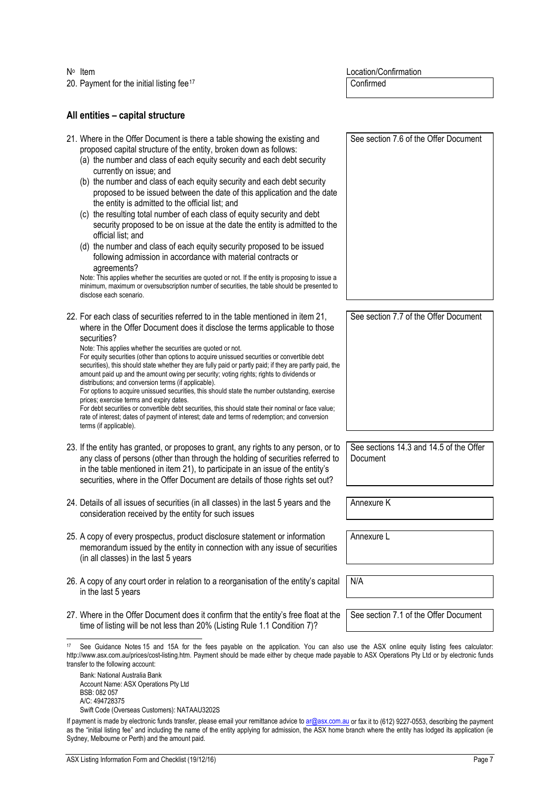20. Payment for the initial listing fee<sup>[17](#page-10-1)</sup> Confirmed

No Item Location/Confirmation

# **All entities – capital structure**

<span id="page-10-0"></span>

| 21. Where in the Offer Document is there a table showing the existing and<br>proposed capital structure of the entity, broken down as follows:<br>(a) the number and class of each equity security and each debt security<br>currently on issue; and<br>(b) the number and class of each equity security and each debt security<br>proposed to be issued between the date of this application and the date<br>the entity is admitted to the official list; and<br>(c) the resulting total number of each class of equity security and debt<br>security proposed to be on issue at the date the entity is admitted to the<br>official list; and<br>(d) the number and class of each equity security proposed to be issued<br>following admission in accordance with material contracts or<br>agreements?<br>Note: This applies whether the securities are quoted or not. If the entity is proposing to issue a<br>minimum, maximum or oversubscription number of securities, the table should be presented to<br>disclose each scenario. | See section 7.6 of the Offer Document               |
|-----------------------------------------------------------------------------------------------------------------------------------------------------------------------------------------------------------------------------------------------------------------------------------------------------------------------------------------------------------------------------------------------------------------------------------------------------------------------------------------------------------------------------------------------------------------------------------------------------------------------------------------------------------------------------------------------------------------------------------------------------------------------------------------------------------------------------------------------------------------------------------------------------------------------------------------------------------------------------------------------------------------------------------------|-----------------------------------------------------|
| 22. For each class of securities referred to in the table mentioned in item 21,<br>where in the Offer Document does it disclose the terms applicable to those<br>securities?<br>Note: This applies whether the securities are quoted or not.<br>For equity securities (other than options to acquire unissued securities or convertible debt<br>securities), this should state whether they are fully paid or partly paid; if they are partly paid, the<br>amount paid up and the amount owing per security; voting rights; rights to dividends or<br>distributions; and conversion terms (if applicable).<br>For options to acquire unissued securities, this should state the number outstanding, exercise<br>prices; exercise terms and expiry dates.<br>For debt securities or convertible debt securities, this should state their nominal or face value;<br>rate of interest; dates of payment of interest; date and terms of redemption; and conversion<br>terms (if applicable).                                                | See section 7.7 of the Offer Document               |
| 23. If the entity has granted, or proposes to grant, any rights to any person, or to<br>any class of persons (other than through the holding of securities referred to<br>in the table mentioned in item 21), to participate in an issue of the entity's<br>securities, where in the Offer Document are details of those rights set out?                                                                                                                                                                                                                                                                                                                                                                                                                                                                                                                                                                                                                                                                                                | See sections 14.3 and 14.5 of the Offer<br>Document |
| 24. Details of all issues of securities (in all classes) in the last 5 years and the<br>consideration received by the entity for such issues                                                                                                                                                                                                                                                                                                                                                                                                                                                                                                                                                                                                                                                                                                                                                                                                                                                                                            | Annexure K                                          |
| 25. A copy of every prospectus, product disclosure statement or information<br>memorandum issued by the entity in connection with any issue of securities<br>(in all classes) in the last 5 years                                                                                                                                                                                                                                                                                                                                                                                                                                                                                                                                                                                                                                                                                                                                                                                                                                       | Annexure L                                          |
| 26. A copy of any court order in relation to a reorganisation of the entity's capital<br>in the last 5 years                                                                                                                                                                                                                                                                                                                                                                                                                                                                                                                                                                                                                                                                                                                                                                                                                                                                                                                            | N/A                                                 |
| 27. Where in the Offer Document does it confirm that the entity's free float at the<br>time of listing will be not less than 20% (Listing Rule 1.1 Condition 7)?                                                                                                                                                                                                                                                                                                                                                                                                                                                                                                                                                                                                                                                                                                                                                                                                                                                                        | See section 7.1 of the Offer Document               |
|                                                                                                                                                                                                                                                                                                                                                                                                                                                                                                                                                                                                                                                                                                                                                                                                                                                                                                                                                                                                                                         |                                                     |

<span id="page-10-1"></span> 17 See Guidance Notes 15 and 15A for the fees payable on the application. You can also use the ASX online equity listing fees calculator: http://www.asx.com.au/prices/cost-listing.htm. Payment should be made either by cheque made payable to ASX Operations Pty Ltd or by electronic funds transfer to the following account:

Bank: National Australia Bank Account Name: ASX Operations Pty Ltd BSB: 082 057 A/C: 494728375 Swift Code (Overseas Customers): NATAAU3202S

If payment is made by electronic funds transfer, please email your remittance advice t[o ar@asx.com.au](mailto:ar@asx.com.au) or fax it to (612) 9227-0553, describing the payment as the "initial listing fee" and including the name of the entity applying for admission, the ASX home branch where the entity has lodged its application (ie Sydney, Melbourne or Perth) and the amount paid.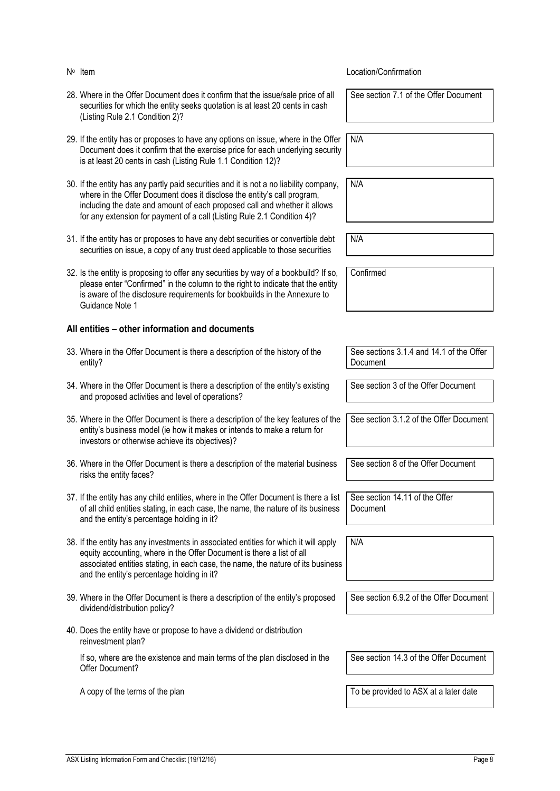| N <sup>o</sup> Item                                                                                                                                                                                                                                                                                                       | Location/Confirmation                                |
|---------------------------------------------------------------------------------------------------------------------------------------------------------------------------------------------------------------------------------------------------------------------------------------------------------------------------|------------------------------------------------------|
| 28. Where in the Offer Document does it confirm that the issue/sale price of all<br>securities for which the entity seeks quotation is at least 20 cents in cash<br>(Listing Rule 2.1 Condition 2)?                                                                                                                       | See section 7.1 of the Offer Document                |
| 29. If the entity has or proposes to have any options on issue, where in the Offer<br>Document does it confirm that the exercise price for each underlying security<br>is at least 20 cents in cash (Listing Rule 1.1 Condition 12)?                                                                                      | N/A                                                  |
| 30. If the entity has any partly paid securities and it is not a no liability company,<br>where in the Offer Document does it disclose the entity's call program,<br>including the date and amount of each proposed call and whether it allows<br>for any extension for payment of a call (Listing Rule 2.1 Condition 4)? | N/A                                                  |
| 31. If the entity has or proposes to have any debt securities or convertible debt<br>securities on issue, a copy of any trust deed applicable to those securities                                                                                                                                                         | N/A                                                  |
| 32. Is the entity is proposing to offer any securities by way of a bookbuild? If so,<br>please enter "Confirmed" in the column to the right to indicate that the entity<br>is aware of the disclosure requirements for bookbuilds in the Annexure to<br>Guidance Note 1                                                   | Confirmed                                            |
| All entities - other information and documents                                                                                                                                                                                                                                                                            |                                                      |
| 33. Where in the Offer Document is there a description of the history of the<br>entity?                                                                                                                                                                                                                                   | See sections 3.1.4 and 14.1 of the Offer<br>Document |
| 34. Where in the Offer Document is there a description of the entity's existing<br>and proposed activities and level of operations?                                                                                                                                                                                       | See section 3 of the Offer Document                  |
| 35. Where in the Offer Document is there a description of the key features of the<br>entity's business model (ie how it makes or intends to make a return for<br>investors or otherwise achieve its objectives)?                                                                                                          | See section 3.1.2 of the Offer Document              |
| 36. Where in the Offer Document is there a description of the material business<br>risks the entity faces?                                                                                                                                                                                                                | See section 8 of the Offer Document                  |
| 37. If the entity has any child entities, where in the Offer Document is there a list<br>of all child entities stating, in each case, the name, the nature of its business<br>and the entity's percentage holding in it?                                                                                                  | See section 14.11 of the Offer<br>Document           |
| 38. If the entity has any investments in associated entities for which it will apply<br>equity accounting, where in the Offer Document is there a list of all<br>associated entities stating, in each case, the name, the nature of its business<br>and the entity's percentage holding in it?                            | N/A                                                  |
| 39. Where in the Offer Document is there a description of the entity's proposed<br>dividend/distribution policy?                                                                                                                                                                                                          | See section 6.9.2 of the Offer Document              |
| 40. Does the entity have or propose to have a dividend or distribution<br>reinvestment plan?                                                                                                                                                                                                                              |                                                      |
| If so, where are the existence and main terms of the plan disclosed in the<br>Offer Document?                                                                                                                                                                                                                             | See section 14.3 of the Offer Document               |
| A copy of the terms of the plan                                                                                                                                                                                                                                                                                           | To be provided to ASX at a later date                |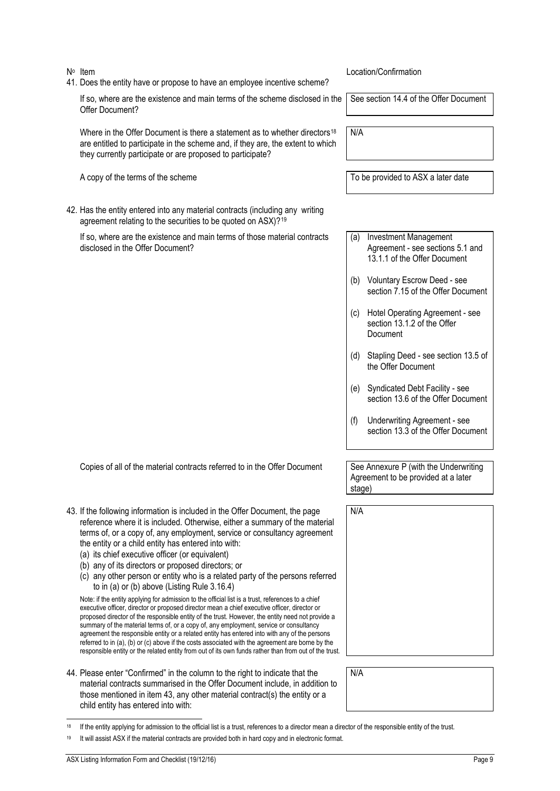- 
- 41. Does the entity have or propose to have an employee incentive scheme?

If so, where are the existence and main terms of the scheme disclosed in the Offer Document?

Where in the Offer Document is there a statement as to whether directors<sup>[18](#page-12-1)</sup> are entitled to participate in the scheme and, if they are, the extent to which they currently participate or are proposed to participate?

A copy of the terms of the scheme To be provided to ASX a later date

42. Has the entity entered into any material contracts (including any writing agreement relating to the securities to be quoted on ASX)?<sup>[19](#page-12-2)</sup>

If so, where are the existence and main terms of those material contracts disclosed in the Offer Document?

Copies of all of the material contracts referred to in the Offer Document See Annexure P (with the Underwriting

- <span id="page-12-0"></span>43. If the following information is included in the Offer Document, the page reference where it is included. Otherwise, either a summary of the material terms of, or a copy of, any employment, service or consultancy agreement the entity or a child entity has entered into with:
	- (a) its chief executive officer (or equivalent)
	- (b) any of its directors or proposed directors; or
	- (c) any other person or entity who is a related party of the persons referred to in (a) or (b) above (Listing Rule 3.16.4)

Note: if the entity applying for admission to the official list is a trust, references to a chief executive officer, director or proposed director mean a chief executive officer, director or proposed director of the responsible entity of the trust. However, the entity need not provide a summary of the material terms of, or a copy of, any employment, service or consultancy agreement the responsible entity or a related entity has entered into with any of the persons referred to in (a), (b) or (c) above if the costs associated with the agreement are borne by the responsible entity or the related entity from out of its own funds rather than from out of the trust.

44. Please enter "Confirmed" in the column to the right to indicate that the material contracts summarised in the Offer Document include, in addition to those mentioned in item [43,](#page-12-0) any other material contract(s) the entity or a child entity has entered into with:

No Item **No Item No Item No Item No Item No Item No Item No Item No Item No Item No Item No Item No Item No Item No Item No Item No Item No Item No Item No Item No Item No Item No** 

See section 14.4 of the Offer Document

N/A

- (a) Investment Management Agreement - see sections 5.1 and 13.1.1 of the Offer Document
- (b) Voluntary Escrow Deed see section 7.15 of the Offer Document
- (c) Hotel Operating Agreement see section 13.1.2 of the Offer **Document**
- (d) Stapling Deed see section 13.5 of the Offer Document
- (e) Syndicated Debt Facility see section 13.6 of the Offer Document
- (f) Underwriting Agreement see section 13.3 of the Offer Document

Agreement to be provided at a later stage)

N/A

N/A

- <span id="page-12-1"></span>If the entity applying for admission to the official list is a trust, references to a director mean a director of the responsible entity of the trust.
- <span id="page-12-2"></span>It will assist ASX if the material contracts are provided both in hard copy and in electronic format.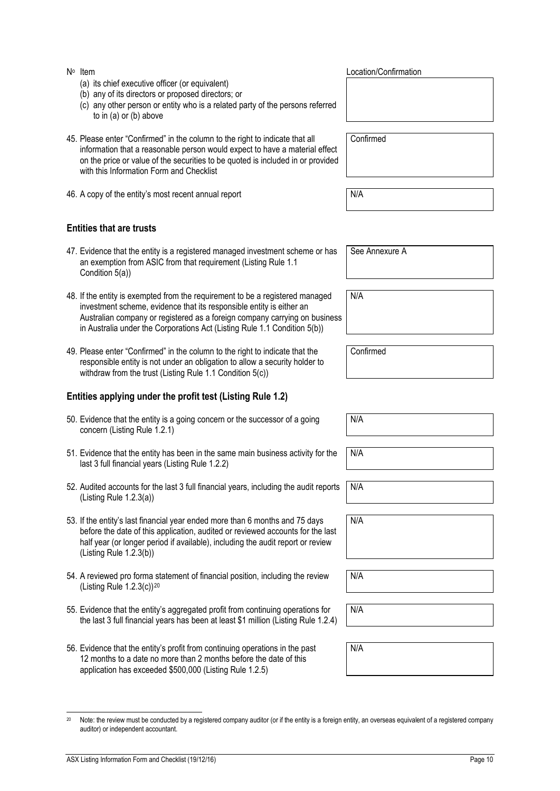auditor) or independent accountant.

- (a) its chief executive officer (or equivalent)
- (b) any of its directors or proposed directors; or
- (c) any other person or entity who is a related party of the persons referred to in (a) or (b) above
- 45. Please enter "Confirmed" in the column to the right to indicate that all information that a reasonable person would expect to have a material effect on the price or value of the securities to be quoted is included in or provided with this Information Form and Checklist
- 46. A copy of the entity's most recent annual report N/A

# **Entities that are trusts**

- 47. Evidence that the entity is a registered managed investment scheme or has an exemption from ASIC from that requirement (Listing Rule 1.1 Condition 5(a))
- 48. If the entity is exempted from the requirement to be a registered managed investment scheme, evidence that its responsible entity is either an Australian company or registered as a foreign company carrying on business in Australia under the Corporations Act (Listing Rule 1.1 Condition 5(b))
- 49. Please enter "Confirmed" in the column to the right to indicate that the responsible entity is not under an obligation to allow a security holder to withdraw from the trust (Listing Rule 1.1 Condition 5(c))

# **Entities applying under the profit test (Listing Rule 1.2)**

- 50. Evidence that the entity is a going concern or the successor of a going concern (Listing Rule 1.2.1)
- 51. Evidence that the entity has been in the same main business activity for the last 3 full financial years (Listing Rule 1.2.2)
- 52. Audited accounts for the last 3 full financial years, including the audit reports (Listing Rule 1.2.3(a)) N/A
- 53. If the entity's last financial year ended more than 6 months and 75 days before the date of this application, audited or reviewed accounts for the last half year (or longer period if available), including the audit report or review (Listing Rule 1.2.3(b))
- 54. A reviewed pro forma statement of financial position, including the review (Listing Rule 1.2.3(c))[20](#page-13-0)
- 55. Evidence that the entity's aggregated profit from continuing operations for the last 3 full financial years has been at least \$1 million (Listing Rule 1.2.4)

<span id="page-13-0"></span><sup>20</sup> Note: the review must be conducted by a registered company auditor (or if the entity is a foreign entity, an overseas equivalent of a registered company

56. Evidence that the entity's profit from continuing operations in the past 12 months to a date no more than 2 months before the date of this application has exceeded \$500,000 (Listing Rule 1.2.5)

N∘ Item Location/Confirmation

Confirmed

See Annexure A

N/A

Confirmed

N/A

N/A

N/A

N/A

N/A

N/A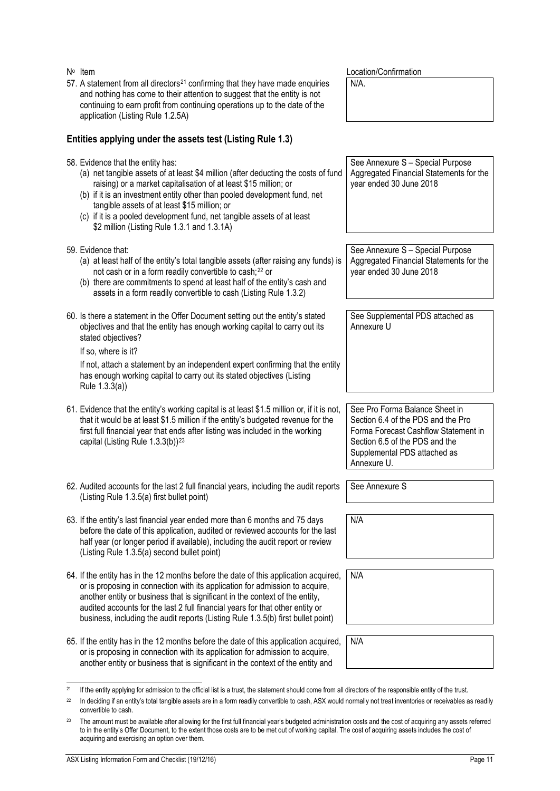| N <sup>o</sup> Item                                                                                                                                                                                                                                                                                                                                                                                                                                | Location/Confirmation                                                                                                                                                                         |
|----------------------------------------------------------------------------------------------------------------------------------------------------------------------------------------------------------------------------------------------------------------------------------------------------------------------------------------------------------------------------------------------------------------------------------------------------|-----------------------------------------------------------------------------------------------------------------------------------------------------------------------------------------------|
| 57. A statement from all directors <sup>21</sup> confirming that they have made enquiries<br>and nothing has come to their attention to suggest that the entity is not<br>continuing to earn profit from continuing operations up to the date of the<br>application (Listing Rule 1.2.5A)                                                                                                                                                          | N/A.                                                                                                                                                                                          |
| Entities applying under the assets test (Listing Rule 1.3)                                                                                                                                                                                                                                                                                                                                                                                         |                                                                                                                                                                                               |
| 58. Evidence that the entity has:<br>(a) net tangible assets of at least \$4 million (after deducting the costs of fund<br>raising) or a market capitalisation of at least \$15 million; or<br>(b) if it is an investment entity other than pooled development fund, net<br>tangible assets of at least \$15 million; or<br>(c) if it is a pooled development fund, net tangible assets of at least<br>\$2 million (Listing Rule 1.3.1 and 1.3.1A) | See Annexure S - Special Purpose<br>Aggregated Financial Statements for the<br>year ended 30 June 2018                                                                                        |
| 59. Evidence that:<br>(a) at least half of the entity's total tangible assets (after raising any funds) is<br>not cash or in a form readily convertible to cash; <sup>22</sup> or<br>(b) there are commitments to spend at least half of the entity's cash and<br>assets in a form readily convertible to cash (Listing Rule 1.3.2)                                                                                                                | See Annexure S - Special Purpose<br>Aggregated Financial Statements for the<br>year ended 30 June 2018                                                                                        |
| 60. Is there a statement in the Offer Document setting out the entity's stated<br>objectives and that the entity has enough working capital to carry out its<br>stated objectives?<br>If so, where is it?<br>If not, attach a statement by an independent expert confirming that the entity<br>has enough working capital to carry out its stated objectives (Listing<br>Rule 1.3.3(a))                                                            | See Supplemental PDS attached as<br>Annexure U                                                                                                                                                |
| 61. Evidence that the entity's working capital is at least \$1.5 million or, if it is not,<br>that it would be at least \$1.5 million if the entity's budgeted revenue for the<br>first full financial year that ends after listing was included in the working<br>capital (Listing Rule 1.3.3(b)) <sup>23</sup>                                                                                                                                   | See Pro Forma Balance Sheet in<br>Section 6.4 of the PDS and the Pro<br>Forma Forecast Cashflow Statement in<br>Section 6.5 of the PDS and the<br>Supplemental PDS attached as<br>Annexure U. |
| 62. Audited accounts for the last 2 full financial years, including the audit reports<br>(Listing Rule 1.3.5(a) first bullet point)                                                                                                                                                                                                                                                                                                                | See Annexure S                                                                                                                                                                                |
| 63. If the entity's last financial year ended more than 6 months and 75 days<br>before the date of this application, audited or reviewed accounts for the last<br>half year (or longer period if available), including the audit report or review<br>(Listing Rule 1.3.5(a) second bullet point)                                                                                                                                                   | N/A                                                                                                                                                                                           |
| 64. If the entity has in the 12 months before the date of this application acquired,<br>or is proposing in connection with its application for admission to acquire,<br>another entity or business that is significant in the context of the entity,<br>audited accounts for the last 2 full financial years for that other entity or<br>business, including the audit reports (Listing Rule 1.3.5(b) first bullet point)                          | N/A                                                                                                                                                                                           |
| 65. If the entity has in the 12 months before the date of this application acquired,<br>or is proposing in connection with its application for admission to acquire,<br>another entity or business that is significant in the context of the entity and                                                                                                                                                                                            | N/A                                                                                                                                                                                           |

<span id="page-14-0"></span><sup>&</sup>lt;sup>21</sup> If the entity applying for admission to the official list is a trust, the statement should come from all directors of the responsible entity of the trust.

<span id="page-14-1"></span><sup>&</sup>lt;sup>22</sup> In deciding if an entity's total tangible assets are in a form readily convertible to cash, ASX would normally not treat inventories or receivables as readily convertible to cash.

<span id="page-14-2"></span> $23$  The amount must be available after allowing for the first full financial year's budgeted administration costs and the cost of acquiring any assets referred to in the entity's Offer Document, to the extent those costs are to be met out of working capital. The cost of acquiring assets includes the cost of acquiring and exercising an option over them.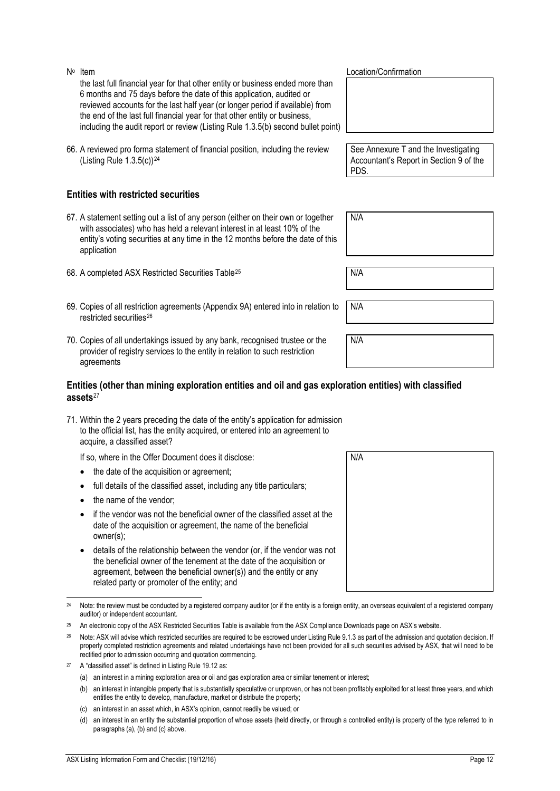the last full financial year for that other entity or business ended more than 6 months and 75 days before the date of this application, audited or reviewed accounts for the last half year (or longer period if available) from the end of the last full financial year for that other entity or business, including the audit report or review (Listing Rule 1.3.5(b) second bullet point)

66. A reviewed pro forma statement of financial position, including the review (Listing Rule  $1.3.5(c)$ )<sup>[24](#page-15-0)</sup>

# **Entities with restricted securities**

- 67. A statement setting out a list of any person (either on their own or together with associates) who has held a relevant interest in at least 10% of the entity's voting securities at any time in the 12 months before the date of this application
- 68. A completed ASX Restricted Securities Table<sup>[25](#page-15-1)</sup> N/A
- <span id="page-15-4"></span>69. Copies of all restriction agreements (Appendix 9A) entered into in relation to restricted securities<sup>[26](#page-15-2)</sup>
- 70. Copies of all undertakings issued by any bank, recognised trustee or the provider of registry services to the entity in relation to such restriction agreements

#### **Entities (other than mining exploration entities and oil and gas exploration entities) with classified assets**[27](#page-15-3)

71. Within the 2 years preceding the date of the entity's application for admission to the official list, has the entity acquired, or entered into an agreement to acquire, a classified asset?

If so, where in the Offer Document does it disclose:

- the date of the acquisition or agreement;
- full details of the classified asset, including any title particulars;
- the name of the vendor;
- if the vendor was not the beneficial owner of the classified asset at the date of the acquisition or agreement, the name of the beneficial owner(s);
- details of the relationship between the vendor (or, if the vendor was not the beneficial owner of the tenement at the date of the acquisition or agreement, between the beneficial owner(s)) and the entity or any related party or promoter of the entity; and

No Item  $\mathsf{N}^{\circ}$  Location/Confirmation

See Annexure T and the Investigating Accountant's Report in Section 9 of the PDS.

N/A

| N/A |  |  |  |
|-----|--|--|--|
|     |  |  |  |

N/A

| N/A |  |
|-----|--|
|     |  |
|     |  |
|     |  |
|     |  |
|     |  |
|     |  |
|     |  |
|     |  |
|     |  |

<span id="page-15-0"></span><sup>&</sup>lt;sup>24</sup> Note: the review must be conducted by a registered company auditor (or if the entity is a foreign entity, an overseas equivalent of a registered company auditor) or independent accountant.

<span id="page-15-1"></span><sup>&</sup>lt;sup>25</sup> An electronic copy of the ASX Restricted Securities Table is available from the ASX Compliance Downloads page on ASX's website.

<span id="page-15-2"></span><sup>&</sup>lt;sup>26</sup> Note: ASX will advise which restricted securities are required to be escrowed under Listing Rule 9.1.3 as part of the admission and quotation decision. If properly completed restriction agreements and related undertakings have not been provided for all such securities advised by ASX, that will need to be rectified prior to admission occurring and quotation commencing.

<span id="page-15-3"></span>A "classified asset" is defined in Listing Rule 19.12 as:

<sup>(</sup>a) an interest in a mining exploration area or oil and gas exploration area or similar tenement or interest;

<sup>(</sup>b) an interest in intangible property that is substantially speculative or unproven, or has not been profitably exploited for at least three years, and which entitles the entity to develop, manufacture, market or distribute the property;

<sup>(</sup>c) an interest in an asset which, in ASX's opinion, cannot readily be valued; or

<sup>(</sup>d) an interest in an entity the substantial proportion of whose assets (held directly, or through a controlled entity) is property of the type referred to in paragraphs (a), (b) and (c) above.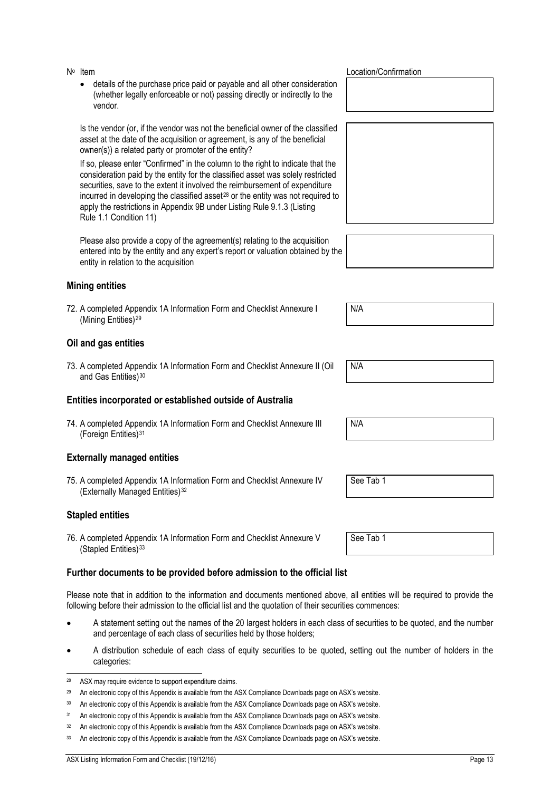• details of the purchase price paid or payable and all other consideration (whether legally enforceable or not) passing directly or indirectly to the vendor.

Is the vendor (or, if the vendor was not the beneficial owner of the classified asset at the date of the acquisition or agreement, is any of the beneficial owner(s)) a related party or promoter of the entity?

If so, please enter "Confirmed" in the column to the right to indicate that the consideration paid by the entity for the classified asset was solely restricted securities, save to the extent it involved the reimbursement of expenditure incurred in developing the classified asset<sup>[28](#page-16-0)</sup> or the entity was not required to apply the restrictions in Appendix 9B under Listing Rule 9.1.3 (Listing Rule 1.1 Condition 11)

Please also provide a copy of the agreement(s) relating to the acquisition entered into by the entity and any expert's report or valuation obtained by the entity in relation to the acquisition

### **Mining entities**

72. A completed Appendix 1A Information Form and Checklist Annexure I (Mining Entities)[29](#page-16-1)

#### **Oil and gas entities**

73. A completed Appendix 1A Information Form and Checklist Annexure II (Oil and Gas Entities)<sup>[30](#page-16-2)</sup>

#### **Entities incorporated or established outside of Australia**

74. A completed Appendix 1A Information Form and Checklist Annexure III (Foreign Entities)[31](#page-16-3)

### **Externally managed entities**

75. A completed Appendix 1A Information Form and Checklist Annexure IV (Externally Managed Entities)<sup>[32](#page-16-4)</sup>

#### **Stapled entities**

76. A completed Appendix 1A Information Form and Checklist Annexure V (Stapled Entities)[33](#page-16-5)

### **Further documents to be provided before admission to the official list**

Please note that in addition to the information and documents mentioned above, all entities will be required to provide the following before their admission to the official list and the quotation of their securities commences:

- A statement setting out the names of the 20 largest holders in each class of securities to be quoted, and the number and percentage of each class of securities held by those holders;
- A distribution schedule of each class of equity securities to be quoted, setting out the number of holders in the categories:

No Item  $\mathsf{N}^{\circ}$  Location/Confirmation

| $\overline{\phantom{a}}$<br>N/A |  |  |  |
|---------------------------------|--|--|--|
|                                 |  |  |  |

N/A

N/A

See Tab 1

See Tab 1

<span id="page-16-0"></span> <sup>28</sup> ASX may require evidence to support expenditure claims.

<span id="page-16-1"></span><sup>&</sup>lt;sup>29</sup> An electronic copy of this Appendix is available from the ASX Compliance Downloads page on ASX's website.

<span id="page-16-2"></span><sup>30</sup> An electronic copy of this Appendix is available from the ASX Compliance Downloads page on ASX's website.

<span id="page-16-3"></span><sup>&</sup>lt;sup>31</sup> An electronic copy of this Appendix is available from the ASX Compliance Downloads page on ASX's website.

<span id="page-16-4"></span><sup>32</sup> An electronic copy of this Appendix is available from the ASX Compliance Downloads page on ASX's website.

<span id="page-16-5"></span><sup>&</sup>lt;sup>33</sup> An electronic copy of this Appendix is available from the ASX Compliance Downloads page on ASX's website.